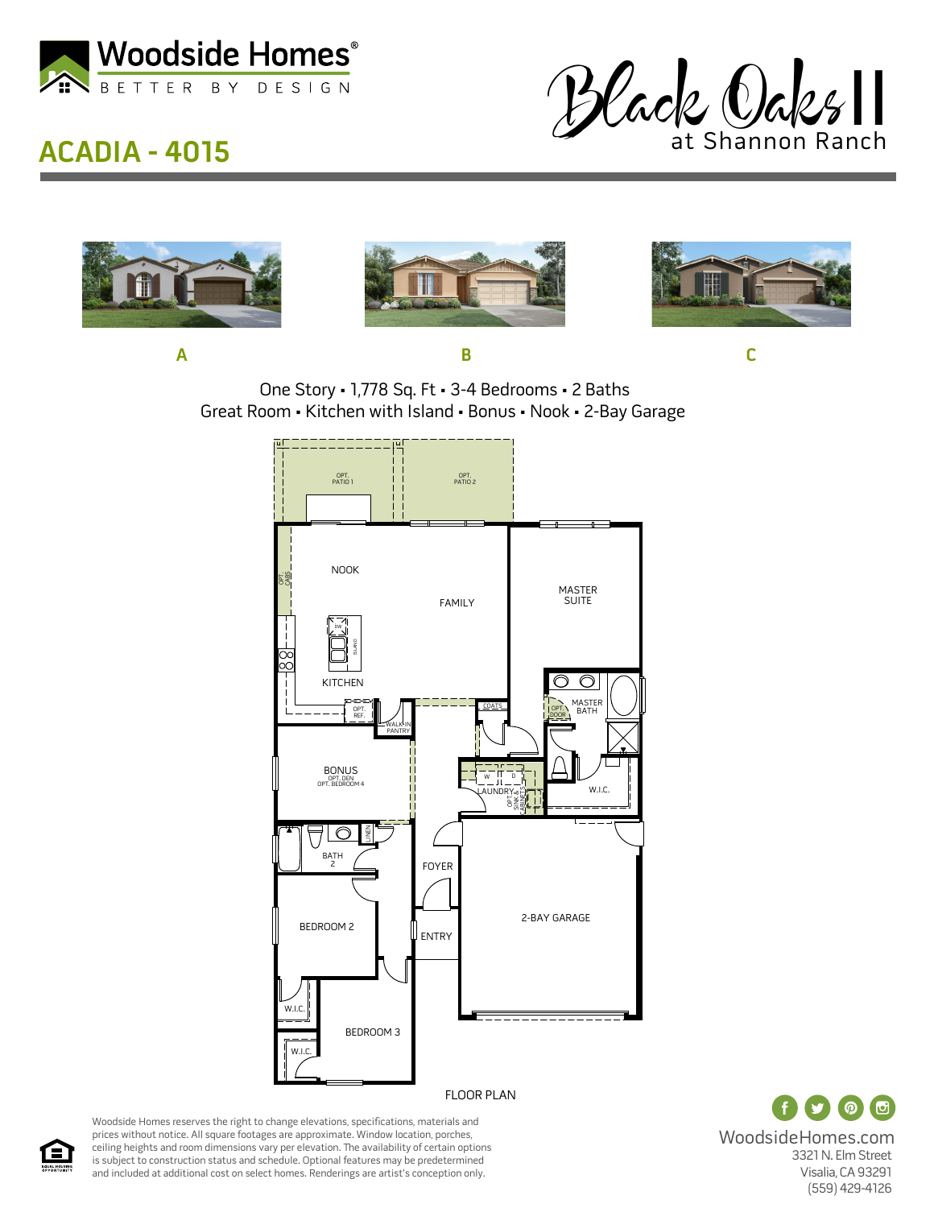

## **ACADIA - 4015**









**A B C**

One Story • 1,778 Sq. Ft • 3-4 Bedrooms • 2 Baths Great Room • Kitchen with Island • Bonus • Nook • 2-Bay Garage



FLOOR PLAN

 $\odot$   $\odot$ WoodsideHomes.com 3321 N. Elm Street Visalia, CA 93291 (559) 429-4126

Woodside Homes reserves the right to change elevations, specifications, materials and prices without notice. All square footages are approximate. Window location, porches, ceiling heights and room dimensions vary per elevation. The availability of certain options is subject to construction status and schedule. Optional features may be predetermined and included at additional cost on select homes. Renderings are artist's conception only.